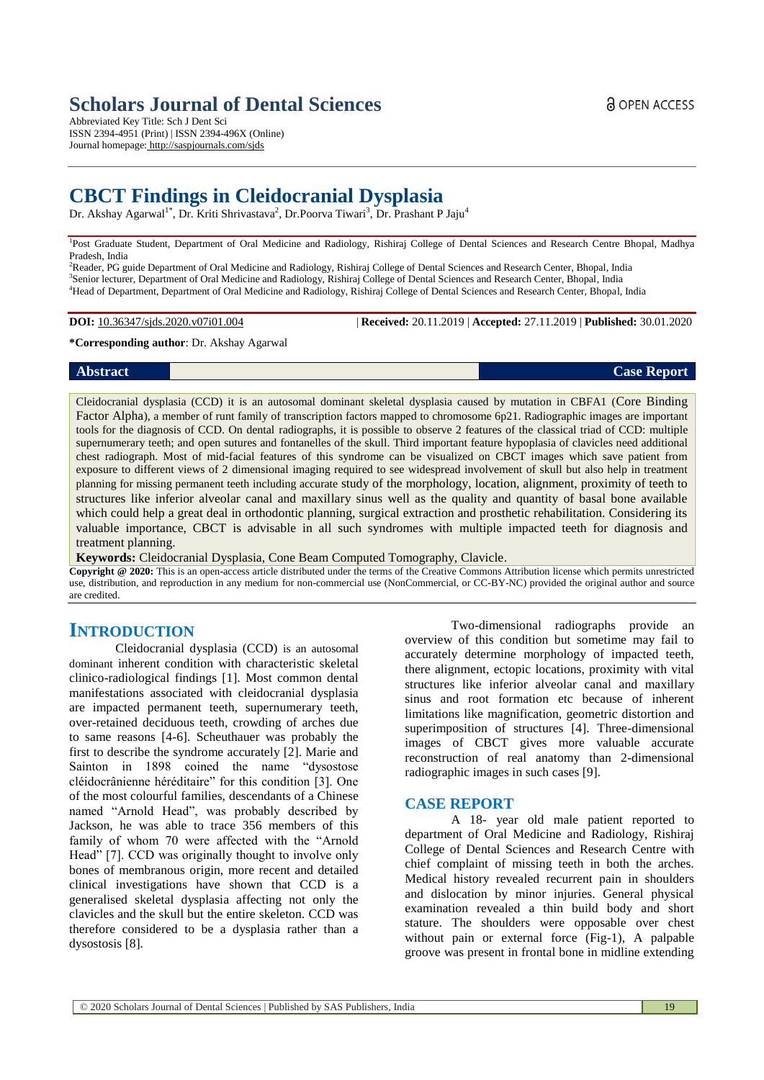# **Scholars Journal of Dental Sciences**

Abbreviated Key Title: Sch J Dent Sci ISSN 2394-4951 (Print) | ISSN 2394-496X (Online) Journal homepage: <http://saspjournals.com/sjds>

# **CBCT Findings in Cleidocranial Dysplasia**

Dr. Akshay Agarwal<sup>1\*</sup>, Dr. Kriti Shrivastava<sup>2</sup>, Dr.Poorva Tiwari<sup>3</sup>, Dr. Prashant P Jaju<sup>4</sup>

<sup>1</sup>Post Graduate Student, Department of Oral Medicine and Radiology, Rishiraj College of Dental Sciences and Research Centre Bhopal, Madhya Pradesh, India

<sup>2</sup>Reader, PG guide Department of Oral Medicine and Radiology, Rishiraj College of Dental Sciences and Research Center, Bhopal, India <sup>3</sup>Senior lecturer, Department of Oral Medicine and Radiology, Rishiraj College of Dental Sciences and Research Center, Bhopal, India <sup>4</sup>Head of Department, Department of Oral Medicine and Radiology, Rishiraj College of Dental Sciences and Research Center, Bhopal, India

**DOI:** 10.36347/sjds.2020.v07i01.004 | **Received:** 20.11.2019 | **Accepted:** 27.11.2019 | **Published:** 30.01.2020

#### **\*Corresponding author**: Dr. Akshay Agarwal

Cleidocranial dysplasia (CCD) it is an autosomal dominant skeletal dysplasia caused by mutation in CBFA1 (Core Binding Factor Alpha), a member of runt family of transcription factors mapped to chromosome 6p21. Radiographic images are important tools for the diagnosis of CCD. On dental radiographs, it is possible to observe 2 features of the classical triad of CCD: multiple supernumerary teeth; and open sutures and fontanelles of the skull. Third important feature hypoplasia of clavicles need additional chest radiograph. Most of mid-facial features of this syndrome can be visualized on CBCT images which save patient from exposure to different views of 2 dimensional imaging required to see widespread involvement of skull but also help in treatment planning for missing permanent teeth including accurate study of the morphology, location, alignment, proximity of teeth to structures like inferior alveolar canal and maxillary sinus well as the quality and quantity of basal bone available which could help a great deal in orthodontic planning, surgical extraction and prosthetic rehabilitation. Considering its valuable importance, CBCT is advisable in all such syndromes with multiple impacted teeth for diagnosis and treatment planning.

**Keywords:** Cleidocranial Dysplasia, Cone Beam Computed Tomography, Clavicle.

**Copyright @ 2020:** This is an open-access article distributed under the terms of the Creative Commons Attribution license which permits unrestricted use, distribution, and reproduction in any medium for non-commercial use (NonCommercial, or CC-BY-NC) provided the original author and source are credited.

## **INTRODUCTION**

Cleidocranial dysplasia (CCD) is an autosomal dominant inherent condition with characteristic skeletal clinico-radiological findings [1]. Most common dental manifestations associated with cleidocranial dysplasia are impacted permanent teeth, supernumerary teeth, over-retained deciduous teeth, crowding of arches due to same reasons [4-6]. Scheuthauer was probably the first to describe the syndrome accurately [2]. Marie and Sainton in 1898 coined the name "dysostose cléidocrânienne héréditaire" for this condition [3]. One of the most colourful families, descendants of a Chinese named "Arnold Head", was probably described by Jackson, he was able to trace 356 members of this family of whom 70 were affected with the "Arnold Head" [7]. CCD was originally thought to involve only bones of membranous origin, more recent and detailed clinical investigations have shown that CCD is a generalised skeletal dysplasia affecting not only the clavicles and the skull but the entire skeleton. CCD was therefore considered to be a dysplasia rather than a dysostosis [8].

Two-dimensional radiographs provide an overview of this condition but sometime may fail to accurately determine morphology of impacted teeth, there alignment, ectopic locations, proximity with vital structures like inferior alveolar canal and maxillary sinus and root formation etc because of inherent limitations like magnification, geometric distortion and superimposition of structures [4]. Three-dimensional images of CBCT gives more valuable accurate reconstruction of real anatomy than 2-dimensional radiographic images in such cases [9].

#### **CASE REPORT**

A 18- year old male patient reported to department of Oral Medicine and Radiology, Rishiraj College of Dental Sciences and Research Centre with chief complaint of missing teeth in both the arches. Medical history revealed recurrent pain in shoulders and dislocation by minor injuries. General physical examination revealed a thin build body and short stature. The shoulders were opposable over chest without pain or external force (Fig-1), A palpable groove was present in frontal bone in midline extending

**Abstract Case Report**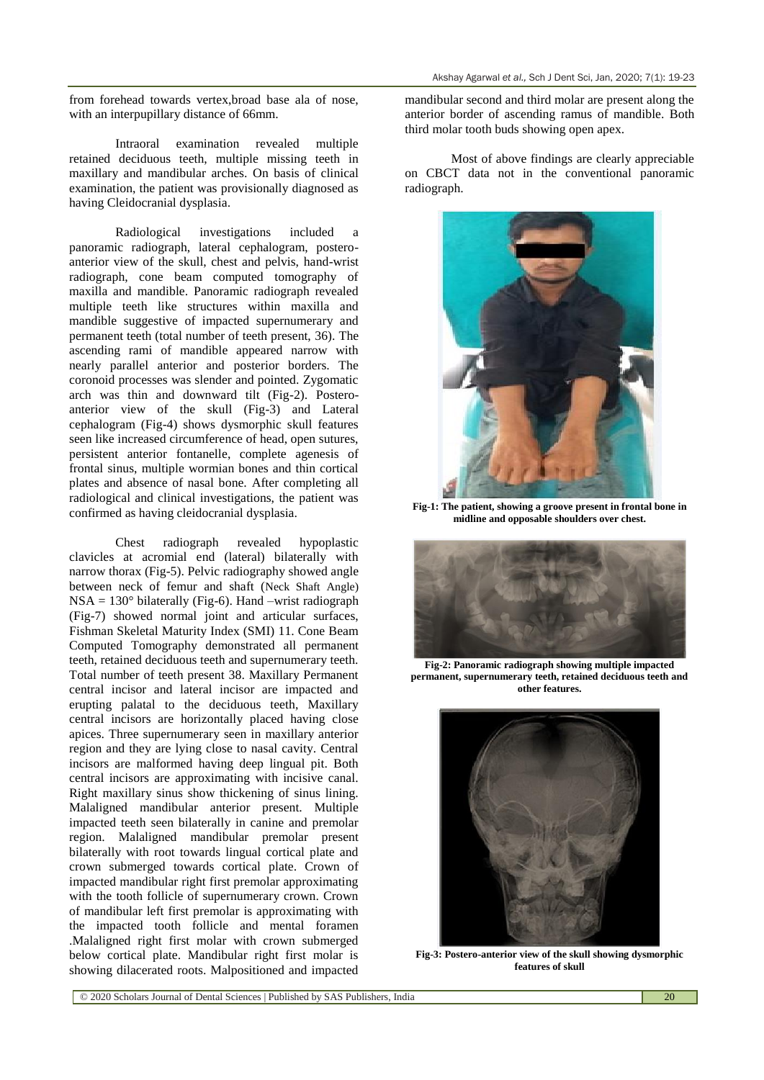from forehead towards vertex,broad base ala of nose, with an interpupillary distance of 66mm.

Intraoral examination revealed multiple retained deciduous teeth, multiple missing teeth in maxillary and mandibular arches. On basis of clinical examination, the patient was provisionally diagnosed as having Cleidocranial dysplasia.

Radiological investigations included a panoramic radiograph, lateral cephalogram, posteroanterior view of the skull, chest and pelvis, hand-wrist radiograph, cone beam computed tomography of maxilla and mandible. Panoramic radiograph revealed multiple teeth like structures within maxilla and mandible suggestive of impacted supernumerary and permanent teeth (total number of teeth present, 36). The ascending rami of mandible appeared narrow with nearly parallel anterior and posterior borders. The coronoid processes was slender and pointed. Zygomatic arch was thin and downward tilt (Fig-2). Posteroanterior view of the skull (Fig-3) and Lateral cephalogram (Fig-4) shows dysmorphic skull features seen like increased circumference of head, open sutures, persistent anterior fontanelle, complete agenesis of frontal sinus, multiple wormian bones and thin cortical plates and absence of nasal bone. After completing all radiological and clinical investigations, the patient was confirmed as having cleidocranial dysplasia.

Chest radiograph revealed hypoplastic clavicles at acromial end (lateral) bilaterally with narrow thorax (Fig-5). Pelvic radiography showed angle between neck of femur and shaft (Neck Shaft Angle)  $NSA = 130^{\circ}$  bilaterally (Fig-6). Hand –wrist radiograph (Fig-7) showed normal joint and articular surfaces, Fishman Skeletal Maturity Index (SMI) 11. Cone Beam Computed Tomography demonstrated all permanent teeth, retained deciduous teeth and supernumerary teeth. Total number of teeth present 38. Maxillary Permanent central incisor and lateral incisor are impacted and erupting palatal to the deciduous teeth, Maxillary central incisors are horizontally placed having close apices. Three supernumerary seen in maxillary anterior region and they are lying close to nasal cavity. Central incisors are malformed having deep lingual pit. Both central incisors are approximating with incisive canal. Right maxillary sinus show thickening of sinus lining. Malaligned mandibular anterior present. Multiple impacted teeth seen bilaterally in canine and premolar region. Malaligned mandibular premolar present bilaterally with root towards lingual cortical plate and crown submerged towards cortical plate. Crown of impacted mandibular right first premolar approximating with the tooth follicle of supernumerary crown. Crown of mandibular left first premolar is approximating with the impacted tooth follicle and mental foramen .Malaligned right first molar with crown submerged below cortical plate. Mandibular right first molar is showing dilacerated roots. Malpositioned and impacted

mandibular second and third molar are present along the anterior border of ascending ramus of mandible. Both third molar tooth buds showing open apex.

Most of above findings are clearly appreciable on CBCT data not in the conventional panoramic radiograph.



**Fig-1: The patient, showing a groove present in frontal bone in midline and opposable shoulders over chest.**



**Fig-2: Panoramic radiograph showing multiple impacted permanent, supernumerary teeth, retained deciduous teeth and other features.**



**Fig-3: Postero-anterior view of the skull showing dysmorphic features of skull**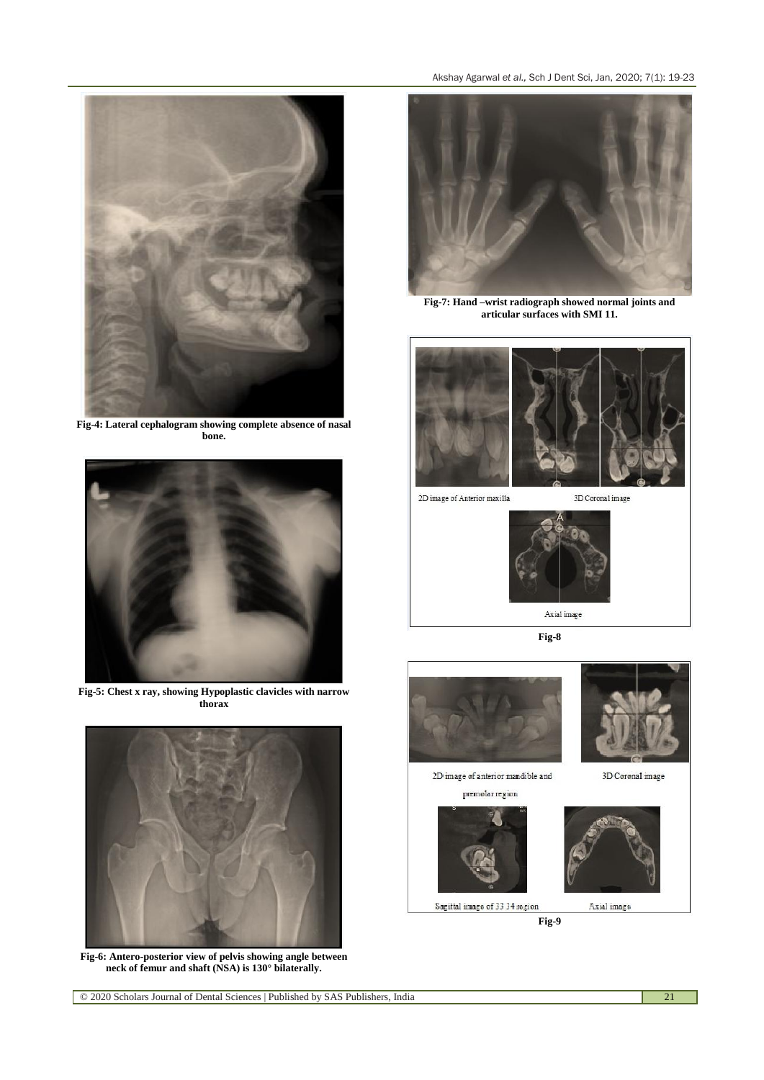

**Fig-4: Lateral cephalogram showing complete absence of nasal bone.**



**Fig-5: Chest x ray, showing Hypoplastic clavicles with narrow thorax**



**Fig-6: Antero-posterior view of pelvis showing angle between neck of femur and shaft (NSA) is 130° bilaterally.**



**Fig-7: Hand –wrist radiograph showed normal joints and articular surfaces with SMI 11.**





**Fig-8**

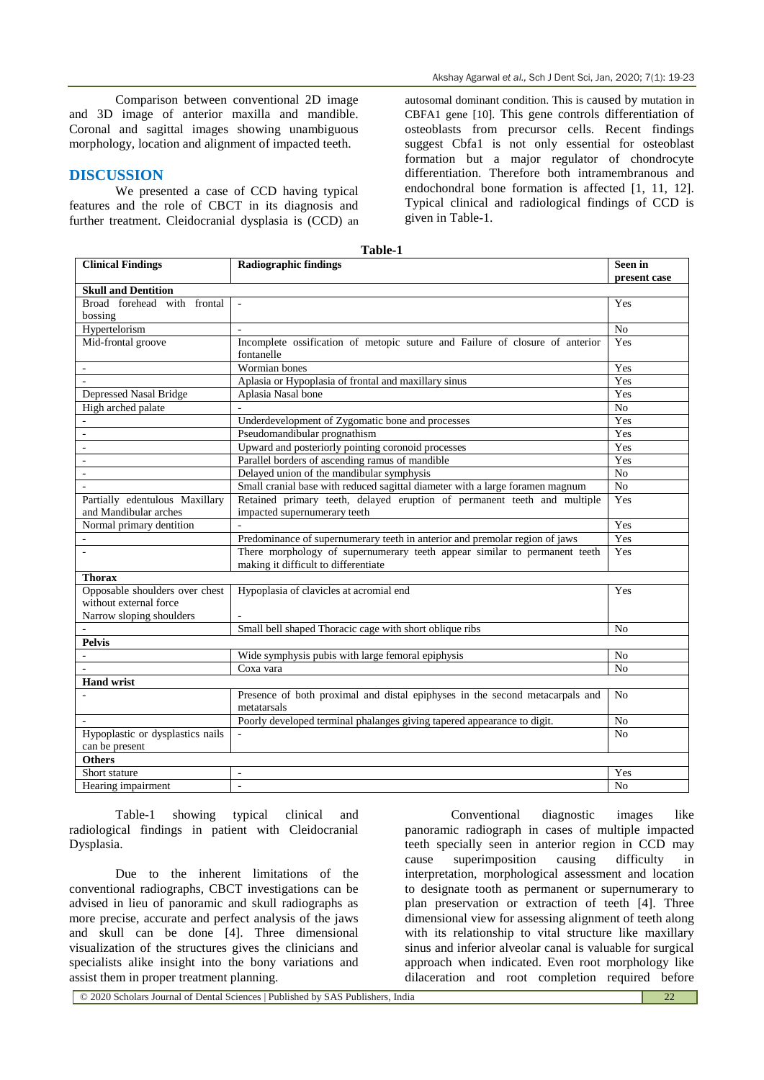Comparison between conventional 2D image and 3D image of anterior maxilla and mandible. Coronal and sagittal images showing unambiguous morphology, location and alignment of impacted teeth.

#### **DISCUSSION**

We presented a case of CCD having typical features and the role of CBCT in its diagnosis and further treatment. Cleidocranial dysplasia is (CCD) an

autosomal dominant condition. This is caused by mutation in CBFA1 gene [10]. This gene controls differentiation of osteoblasts from precursor cells. Recent findings suggest Cbfa1 is not only essential for osteoblast formation but a major regulator of chondrocyte differentiation. Therefore both intramembranous and endochondral bone formation is affected [1, 11, 12]. Typical clinical and radiological findings of CCD is given in Table-1.

| Table-1                          |                                                                               |                |
|----------------------------------|-------------------------------------------------------------------------------|----------------|
| <b>Clinical Findings</b>         | <b>Radiographic findings</b>                                                  | Seen in        |
|                                  |                                                                               | present case   |
| <b>Skull and Dentition</b>       |                                                                               |                |
| Broad forehead with frontal      |                                                                               | Yes            |
| bossing                          |                                                                               |                |
| Hypertelorism                    |                                                                               | N <sub>o</sub> |
| Mid-frontal groove               | Incomplete ossification of metopic suture and Failure of closure of anterior  | Yes            |
|                                  | fontanelle                                                                    |                |
|                                  | Wormian bones                                                                 | Yes            |
| $\overline{a}$                   | Aplasia or Hypoplasia of frontal and maxillary sinus                          | Yes            |
| Depressed Nasal Bridge           | Aplasia Nasal bone                                                            | Yes            |
| High arched palate               |                                                                               | N <sub>o</sub> |
|                                  | Underdevelopment of Zygomatic bone and processes                              | Yes            |
|                                  | Pseudomandibular prognathism                                                  | Yes            |
| ÷,                               | Upward and posteriorly pointing coronoid processes                            | Yes            |
| ÷,                               | Parallel borders of ascending ramus of mandible                               | Yes            |
| ÷,                               | Delayed union of the mandibular symphysis                                     | No             |
| $\overline{a}$                   | Small cranial base with reduced sagittal diameter with a large foramen magnum | No             |
| Partially edentulous Maxillary   | Retained primary teeth, delayed eruption of permanent teeth and multiple      | Yes            |
| and Mandibular arches            | impacted supernumerary teeth                                                  |                |
| Normal primary dentition         |                                                                               | Yes            |
|                                  | Predominance of supernumerary teeth in anterior and premolar region of jaws   | Yes            |
|                                  | There morphology of supernumerary teeth appear similar to permanent teeth     | Yes            |
|                                  | making it difficult to differentiate                                          |                |
| <b>Thorax</b>                    |                                                                               |                |
| Opposable shoulders over chest   | Hypoplasia of clavicles at acromial end                                       | Yes            |
| without external force           |                                                                               |                |
| Narrow sloping shoulders         |                                                                               |                |
|                                  | Small bell shaped Thoracic cage with short oblique ribs                       | N <sub>0</sub> |
| <b>Pelvis</b>                    |                                                                               |                |
|                                  | Wide symphysis pubis with large femoral epiphysis                             | N <sub>o</sub> |
|                                  | Coxa vara                                                                     | N <sub>o</sub> |
| <b>Hand wrist</b>                |                                                                               |                |
|                                  | Presence of both proximal and distal epiphyses in the second metacarpals and  | N <sub>0</sub> |
|                                  | metatarsals                                                                   |                |
|                                  | Poorly developed terminal phalanges giving tapered appearance to digit.       | N <sub>o</sub> |
| Hypoplastic or dysplastics nails |                                                                               | N <sub>0</sub> |
| can be present                   |                                                                               |                |
| <b>Others</b>                    |                                                                               |                |
| Short stature                    | L.                                                                            | Yes            |
| Hearing impairment               | ÷,                                                                            | N <sub>o</sub> |

Table-1 showing typical clinical and radiological findings in patient with Cleidocranial Dysplasia.

Due to the inherent limitations of the conventional radiographs, CBCT investigations can be advised in lieu of panoramic and skull radiographs as more precise, accurate and perfect analysis of the jaws and skull can be done [4]. Three dimensional visualization of the structures gives the clinicians and specialists alike insight into the bony variations and assist them in proper treatment planning.

Conventional diagnostic images like panoramic radiograph in cases of multiple impacted teeth specially seen in anterior region in CCD may cause superimposition causing difficulty in interpretation, morphological assessment and location to designate tooth as permanent or supernumerary to plan preservation or extraction of teeth [4]. Three dimensional view for assessing alignment of teeth along with its relationship to vital structure like maxillary sinus and inferior alveolar canal is valuable for surgical approach when indicated. Even root morphology like dilaceration and root completion required before

© 2020 Scholars Journal of Dental Sciences | Published by SAS Publishers, India 22